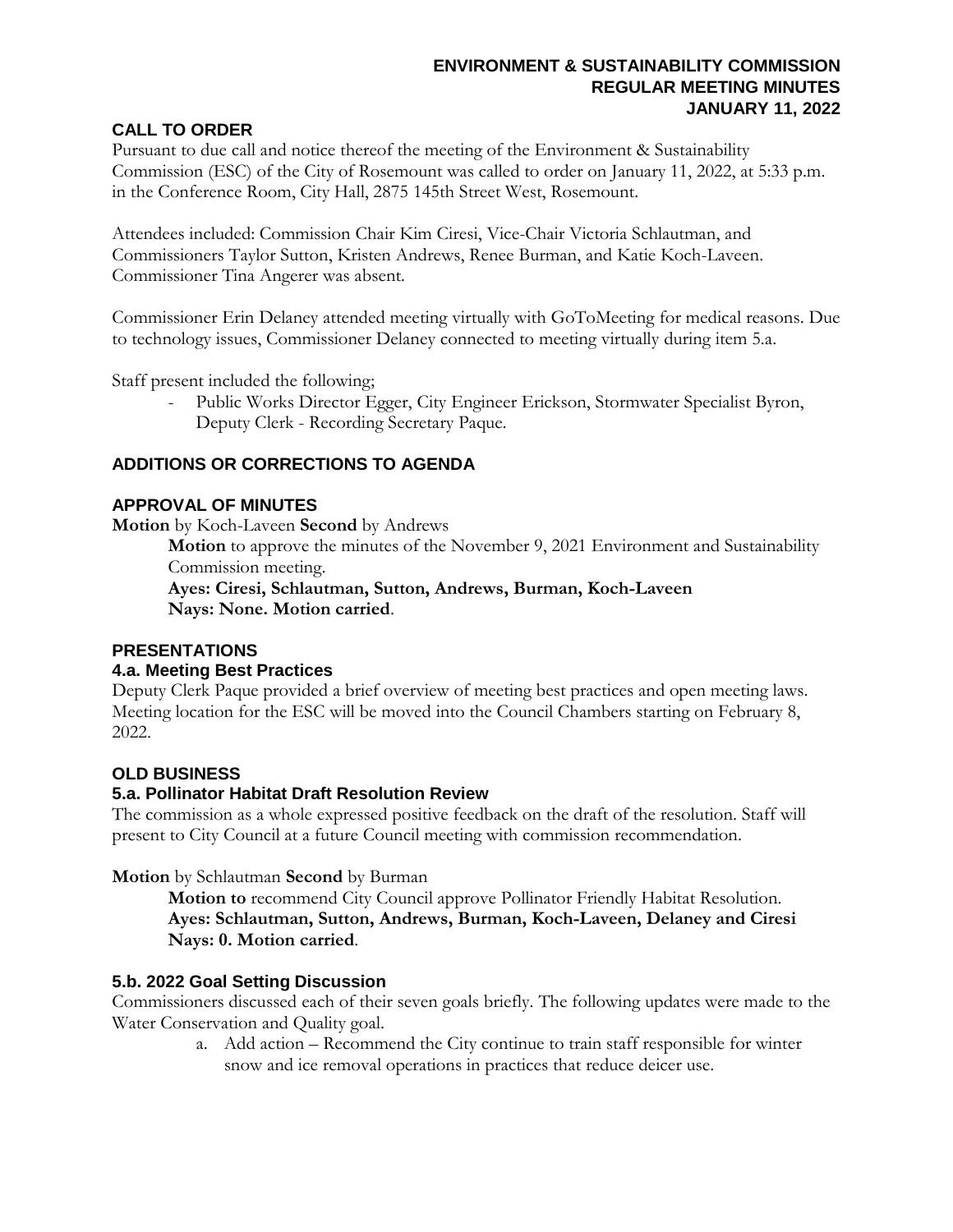## **ENVIRONMENT & SUSTAINABILITY COMMISSION REGULAR MEETING MINUTES JANUARY 11, 2022**

## **CALL TO ORDER**

Pursuant to due call and notice thereof the meeting of the Environment & Sustainability Commission (ESC) of the City of Rosemount was called to order on January 11, 2022, at 5:33 p.m. in the Conference Room, City Hall, 2875 145th Street West, Rosemount.

Attendees included: Commission Chair Kim Ciresi, Vice-Chair Victoria Schlautman, and Commissioners Taylor Sutton, Kristen Andrews, Renee Burman, and Katie Koch-Laveen. Commissioner Tina Angerer was absent.

Commissioner Erin Delaney attended meeting virtually with GoToMeeting for medical reasons. Due to technology issues, Commissioner Delaney connected to meeting virtually during item 5.a.

Staff present included the following;

Public Works Director Egger, City Engineer Erickson, Stormwater Specialist Byron, Deputy Clerk - Recording Secretary Paque.

## **ADDITIONS OR CORRECTIONS TO AGENDA**

### **APPROVAL OF MINUTES**

**Motion** by Koch-Laveen **Second** by Andrews

**Motion** to approve the minutes of the November 9, 2021 Environment and Sustainability Commission meeting.

**Ayes: Ciresi, Schlautman, Sutton, Andrews, Burman, Koch-Laveen Nays: None. Motion carried**.

## **PRESENTATIONS**

#### **4.a. Meeting Best Practices**

Deputy Clerk Paque provided a brief overview of meeting best practices and open meeting laws. Meeting location for the ESC will be moved into the Council Chambers starting on February 8, 2022.

## **OLD BUSINESS**

## **5.a. Pollinator Habitat Draft Resolution Review**

The commission as a whole expressed positive feedback on the draft of the resolution. Staff will present to City Council at a future Council meeting with commission recommendation.

## **Motion** by Schlautman **Second** by Burman

**Motion to** recommend City Council approve Pollinator Friendly Habitat Resolution. **Ayes: Schlautman, Sutton, Andrews, Burman, Koch-Laveen, Delaney and Ciresi Nays: 0. Motion carried**.

## **5.b. 2022 Goal Setting Discussion**

Commissioners discussed each of their seven goals briefly. The following updates were made to the Water Conservation and Quality goal.

a. Add action – Recommend the City continue to train staff responsible for winter snow and ice removal operations in practices that reduce deicer use.